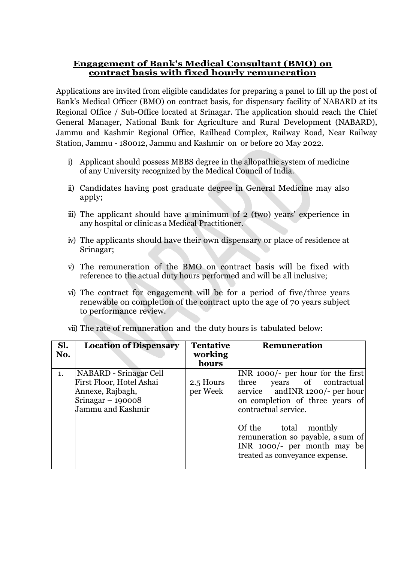# **Engagement of Bank's Medical Consultant (BMO) on contract basis with fixed hourly remuneration**

Applications are invited from eligible candidates for preparing a panel to fill up the post of Bank's Medical Officer (BMO) on contract basis, for dispensary facility of NABARD at its Regional Office / Sub-Office located at Srinagar. The application should reach the Chief General Manager, National Bank for Agriculture and Rural Development (NABARD), Jammu and Kashmir Regional Office, Railhead Complex, Railway Road, Near Railway Station, Jammu - 180012, Jammu and Kashmir on or before 20 May 2022.

- i) Applicant should possess MBBS degree in the allopathic system of medicine of any University recognized by the Medical Council of India.
- ii) Candidates having post graduate degree in General Medicine may also apply;
- iii) The applicant should have a minimum of 2 (two) years' experience in any hospital or clinic as a Medical Practitioner.
- iv) The applicants should have their own dispensary or place of residence at Srinagar;
- v) The remuneration of the BMO on contract basis will be fixed with reference to the actual duty hours performed and will be all inclusive;
- vi) The contract for engagement will be for a period of five/three years renewable on completion of the contract upto the age of 70 years subject to performance review.

| Sl.<br><b>Location of Dispensary</b><br><b>Tentative</b><br>Remuneration<br>working<br>No.                                                                                                                                                 |                                                                                                                                                                                                                    |
|--------------------------------------------------------------------------------------------------------------------------------------------------------------------------------------------------------------------------------------------|--------------------------------------------------------------------------------------------------------------------------------------------------------------------------------------------------------------------|
| hours                                                                                                                                                                                                                                      |                                                                                                                                                                                                                    |
| <b>NABARD</b> - Srinagar Cell<br>1.<br>First Floor, Hotel Ashai<br>three<br>2.5 Hours<br>per Week<br>Annexe, Rajbagh,<br>Srinagar $-190008$<br>Jammu and Kashmir<br>contractual service.<br>Of the total<br>treated as conveyance expense. | INR $1000$ - per hour for the first<br>years of contractual<br>service and INR 1200/- per hour<br>on completion of three years of<br>monthly<br>remuneration so payable, a sum of<br>INR $1000/-$ per month may be |

vii) The rate of remuneration and the duty hours is tabulated below: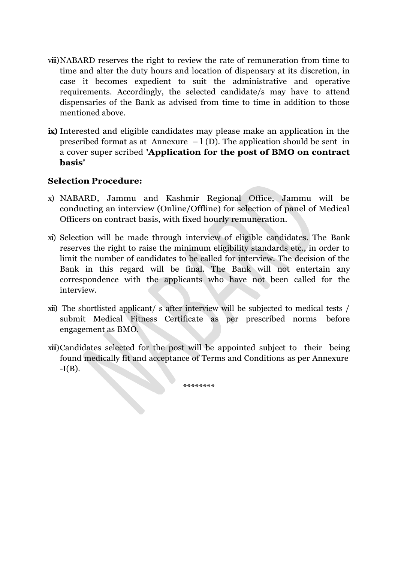- viii)NABARD reserves the right to review the rate of remuneration from time to time and alter the duty hours and location of dispensary at its discretion, in case it becomes expedient to suit the administrative and operative requirements. Accordingly, the selected candidate/s may have to attend dispensaries of the Bank as advised from time to time in addition to those mentioned above.
- **ix)** Interested and eligible candidates may please make an application in the prescribed format as at Annexure  $-1$  (D). The application should be sent in a cover super scribed **'Application for the post of BMO on contract basis'**

# **Selection Procedure:**

- x) NABARD, Jammu and Kashmir Regional Office, Jammu will be conducting an interview (Online/Offline) for selection of panel of Medical Officers on contract basis, with fixed hourly remuneration.
- xi) Selection will be made through interview of eligible candidates. The Bank reserves the right to raise the minimum eligibility standards etc., in order to limit the number of candidates to be called for interview. The decision of the Bank in this regard will be final. The Bank will not entertain any correspondence with the applicants who have not been called for the interview.
- xii) The shortlisted applicant/ s after interview will be subjected to medical tests / submit Medical Fitness Certificate as per prescribed norms before engagement as BMO.
- xiii)Candidates selected for the post will be appointed subject to their being found medically fit and acceptance of Terms and Conditions as per Annexure  $-I(B)$ .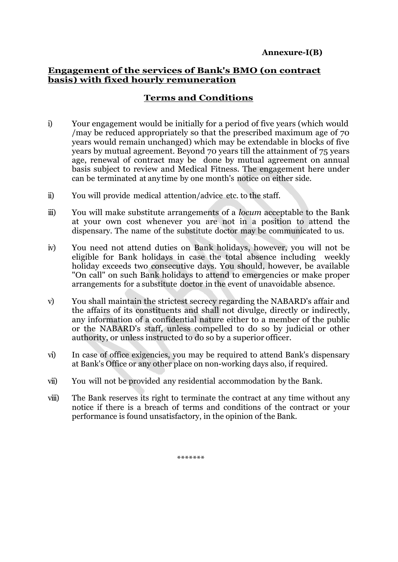### **Engagement of the services of Bank's BMO (on contract basis) with fixed hourly remuneration**

# **Terms and Conditions**

- i) Your engagement would be initially for a period of five years (which would /may be reduced appropriately so that the prescribed maximum age of 70 years would remain unchanged) which may be extendable in blocks of five years by mutual agreement. Beyond 70 years till the attainment of 75 years age, renewal of contract may be done by mutual agreement on annual basis subject to review and Medical Fitness. The engagement here under can be terminated at any time by one month's notice on either side.
- ii) You will provide medical attention/advice etc. to the staff.
- iii) You will make substitute arrangements of a *locum* acceptable to the Bank at your own cost whenever you are not in a position to attend the dispensary. The name of the substitute doctor may be communicated to us.
- iv) You need not attend duties on Bank holidays, however, you will not be eligible for Bank holidays in case the total absence including weekly holiday exceeds two consecutive days. You should, however, be available "On call" on such Bank holidays to attend to emergencies or make proper arrangements for a substitute doctor in the event of unavoidable absence.
- v) You shall maintain the strictest secrecy regarding the NABARD's affair and the affairs of its constituents and shall not divulge, directly or indirectly, any information of a confidential nature either to a member of the public or the NABARD's staff, unless compelled to do so by judicial or other authority, or unless instructed to do so by a superior officer.
- vi) In case of office exigencies, you may be required to attend Bank's dispensary at Bank's Office or any other place on non-working days also, if required.
- vii) You will not be provided any residential accommodation by the Bank.
- viii) The Bank reserves its right to terminate the contract at any time without any notice if there is a breach of terms and conditions of the contract or your performance is found unsatisfactory, in the opinion of the Bank.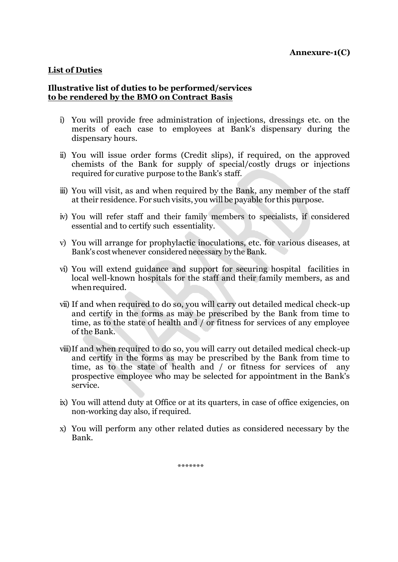#### **List of Duties**

#### **Illustrative list of duties to be performed/services to be rendered by the BMO on Contract Basis**

- i) You will provide free administration of injections, dressings etc. on the merits of each case to employees at Bank's dispensary during the dispensary hours.
- ii) You will issue order forms (Credit slips), if required, on the approved chemists of the Bank for supply of special/costly drugs or injections required for curative purpose to the Bank's staff.
- iii) You will visit, as and when required by the Bank, any member of the staff at their residence. For such visits, you will be payable for this purpose.
- iv) You will refer staff and their family members to specialists, if considered essential and to certify such essentiality.
- v) You will arrange for prophylactic inoculations, etc. for various diseases, at Bank's cost whenever considered necessary by the Bank.
- vi) You will extend guidance and support for securing hospital facilities in local well-known hospitals for the staff and their family members, as and whenrequired.
- vii) If and when required to do so, you will carry out detailed medical check-up and certify in the forms as may be prescribed by the Bank from time to time, as to the state of health and / or fitness for services of any employee of the Bank.
- viii)If and when required to do so, you will carry out detailed medical check-up and certify in the forms as may be prescribed by the Bank from time to time, as to the state of health and / or fitness for services of any prospective employee who may be selected for appointment in the Bank's service.
- ix) You will attend duty at Office or at its quarters, in case of office exigencies, on non-working day also, if required.
- x) You will perform any other related duties as considered necessary by the Bank.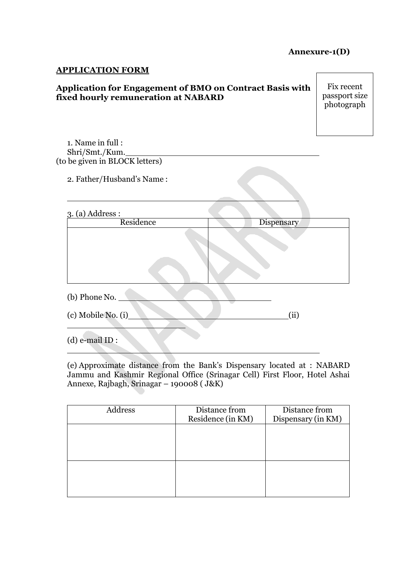# **Annexure-1(D)**

#### **APPLICATION FORM**

## **Application for Engagement of BMO on Contract Basis with fixed hourly remuneration at NABARD**

Fix recent passport size photograph

1. Name in full : Shri/Smt./Kum. (to be given in BLOCK letters)

2. Father/Husband's Name :

| 3. (a) Address :                      |            |  |  |  |
|---------------------------------------|------------|--|--|--|
| Residence                             | Dispensary |  |  |  |
|                                       |            |  |  |  |
| (b) Phone No.<br>(c) Mobile No. $(i)$ | (ii)       |  |  |  |
| $(d)$ e-mail ID :                     |            |  |  |  |

(e) Approximate distance from the Bank's Dispensary located at : NABARD Jammu and Kashmir Regional Office (Srinagar Cell) First Floor, Hotel Ashai Annexe, Rajbagh, Srinagar – 190008 ( J&K)

| Address | Distance from     | Distance from      |
|---------|-------------------|--------------------|
|         | Residence (in KM) | Dispensary (in KM) |
|         |                   |                    |
|         |                   |                    |
|         |                   |                    |
|         |                   |                    |
|         |                   |                    |
|         |                   |                    |
|         |                   |                    |
|         |                   |                    |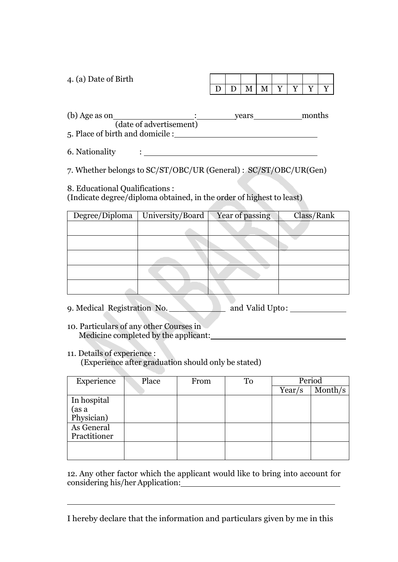| 4. (a) Date of Birth                     |  |       |  |        |  |
|------------------------------------------|--|-------|--|--------|--|
|                                          |  |       |  |        |  |
| (b) Age as on<br>(date of advertisement) |  | vears |  | months |  |

5. Place of birth and domicile :

6. Nationality :

7. Whether belongs to SC/ST/OBC/UR (General) : SC/ST/OBC/UR(Gen)

8. Educational Qualifications :

(Indicate degree/diploma obtained, in the order of highest to least)

| Degree/Diploma | University/Board | Year of passing | Class/Rank |
|----------------|------------------|-----------------|------------|
|                |                  |                 |            |
|                |                  |                 |            |
|                |                  |                 |            |
|                |                  |                 |            |
|                |                  |                 |            |

9. Medical Registration No. \_\_\_\_\_\_\_\_\_\_\_\_\_ and Valid Upto: \_\_\_\_\_\_\_\_\_\_\_\_\_\_\_\_

10. Particulars of any other Courses in Medicine completed by the applicant:

11. Details of experience :

(Experience after graduation should only be stated)

| Experience          | Place | From | To | Period |          |
|---------------------|-------|------|----|--------|----------|
|                     |       |      |    | Year/s | Monthlys |
| In hospital         |       |      |    |        |          |
| (as a<br>Physician) |       |      |    |        |          |
|                     |       |      |    |        |          |
| As General          |       |      |    |        |          |
| Practitioner        |       |      |    |        |          |
|                     |       |      |    |        |          |
|                     |       |      |    |        |          |

12. Any other factor which the applicant would like to bring into account for considering his/her Application:

I hereby declare that the information and particulars given by me in this